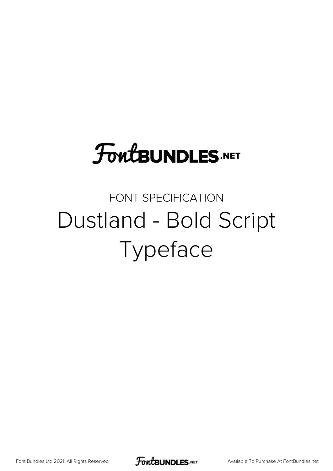## **FoutBUNDLES.NET**

#### FONT SPECIFICATION Dustland - Bold Script Typeface

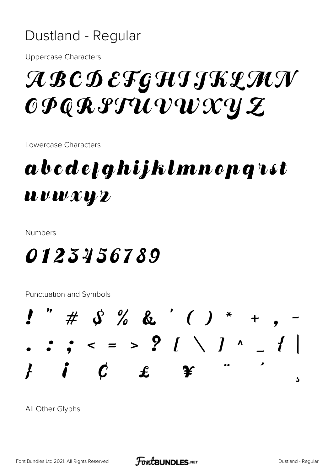#### Dustland - Regular

**Uppercase Characters** 

### A B C D E F G H I J K L M N  $\mathcal{CP}$ QRPTUVWXYZ

Lowercase Characters

#### abcdefghijklmnepqrst  $\boldsymbol{u} \boldsymbol{v} \boldsymbol{w} \boldsymbol{x} \boldsymbol{w} \boldsymbol{z}$

**Numbers** 

#### 0123456789

**Punctuation and Symbols** 



All Other Glyphs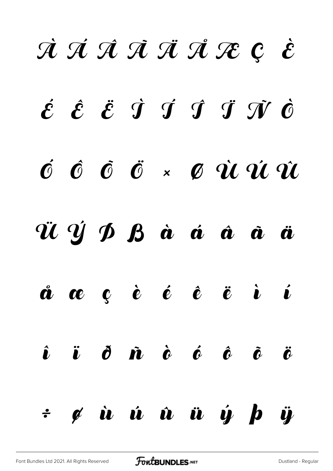# À Á Â Ã Ä Å Æ Ç È  $\acute{\mathcal{E}}$   $\acute{\mathcal{E}}$   $\acute{\mathcal{I}}$   $\acute{\mathcal{I}}$   $\acute{\mathcal{I}}$   $\acute{\mathcal{I}}$   $\acute{\mathcal{I}}$   $\acute{\mathcal{I}}$   $\acute{\mathcal{O}}$ Ó Ô Õ Ö × Ø Ù Ú Û Ü Ý Þ ß à á â ã ä å æ ç è é ê ë ì í  $\hat{\bm{\iota}}$   $\ddot{\bm{\iota}}$   $\hat{\bm{\theta}}$   $\dot{\bm{n}}$   $\dot{\bm{\iota}}$   $\dot{\bm{\varrho}}$   $\dot{\bm{\varrho}}$   $\ddot{\bm{\varrho}}$   $\ddot{\bm{\varrho}}$   $\ddot{\bm{\varrho}}$ ÷ ø ù ú û ü ý þ ÿ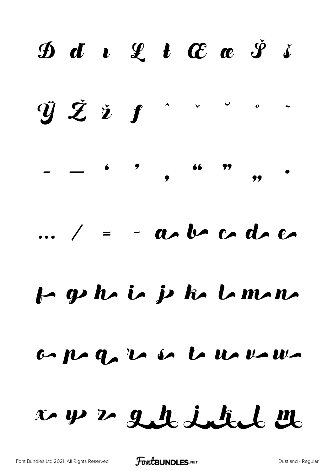